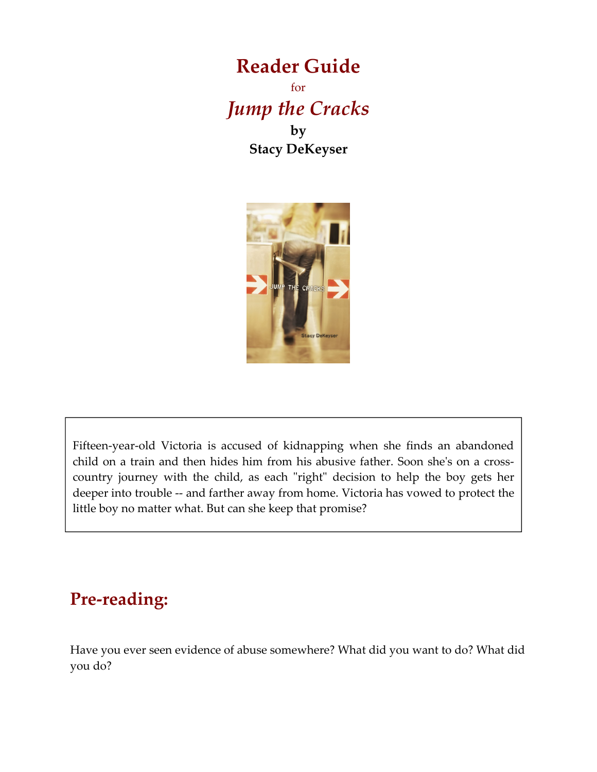### **Reader Guide** for *Jump the Cracks* **by Stacy DeKeyser**



Fifteen-year-old Victoria is accused of kidnapping when she finds an abandoned child on a train and then hides him from his abusive father. Soon she's on a crosscountry journey with the child, as each "right" decision to help the boy gets her deeper into trouble -- and farther away from home. Victoria has vowed to protect the little boy no matter what. But can she keep that promise?

## **Pre-reading:**

Have you ever seen evidence of abuse somewhere? What did you want to do? What did you do?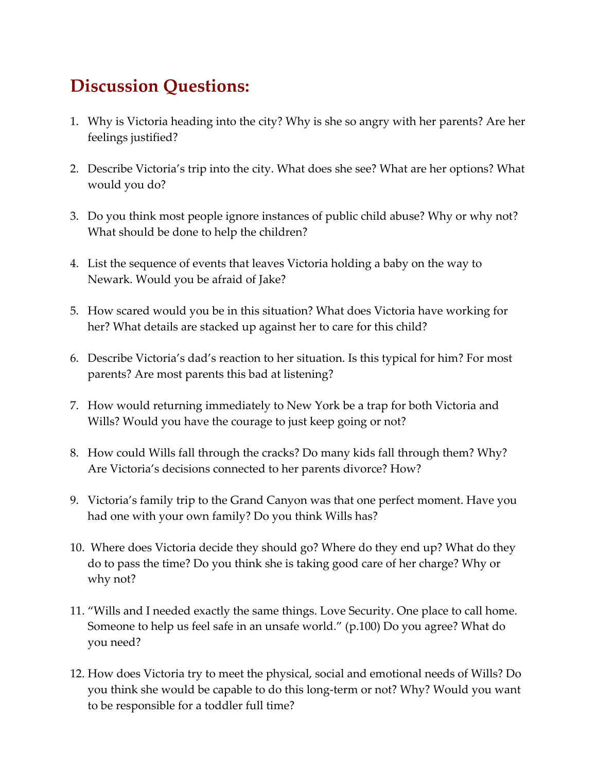# **Discussion Questions:**

- 1. Why is Victoria heading into the city? Why is she so angry with her parents? Are her feelings justified?
- 2. Describe Victoria's trip into the city. What does she see? What are her options? What would you do?
- 3. Do you think most people ignore instances of public child abuse? Why or why not? What should be done to help the children?
- 4. List the sequence of events that leaves Victoria holding a baby on the way to Newark. Would you be afraid of Jake?
- 5. How scared would you be in this situation? What does Victoria have working for her? What details are stacked up against her to care for this child?
- 6. Describe Victoria's dad's reaction to her situation. Is this typical for him? For most parents? Are most parents this bad at listening?
- 7. How would returning immediately to New York be a trap for both Victoria and Wills? Would you have the courage to just keep going or not?
- 8. How could Wills fall through the cracks? Do many kids fall through them? Why? Are Victoria's decisions connected to her parents divorce? How?
- 9. Victoria's family trip to the Grand Canyon was that one perfect moment. Have you had one with your own family? Do you think Wills has?
- 10. Where does Victoria decide they should go? Where do they end up? What do they do to pass the time? Do you think she is taking good care of her charge? Why or why not?
- 11. "Wills and I needed exactly the same things. Love Security. One place to call home. Someone to help us feel safe in an unsafe world." (p.100) Do you agree? What do you need?
- 12. How does Victoria try to meet the physical, social and emotional needs of Wills? Do you think she would be capable to do this long-term or not? Why? Would you want to be responsible for a toddler full time?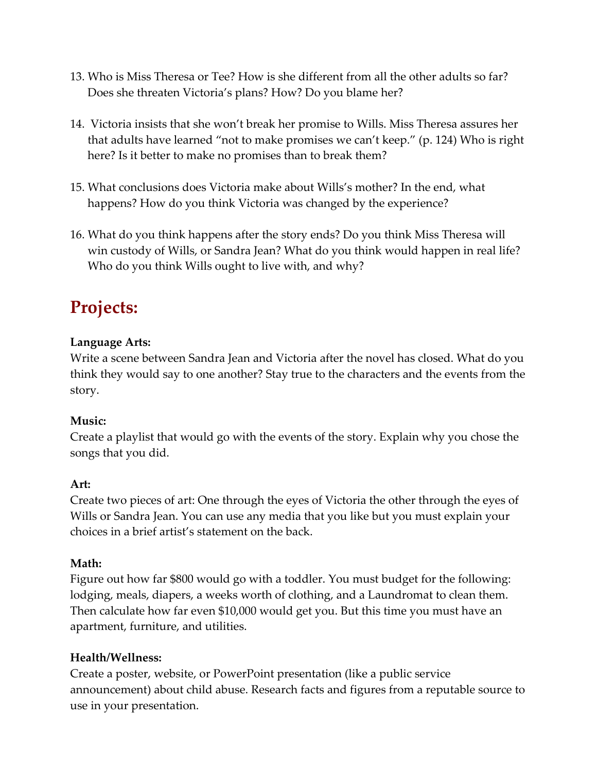- 13. Who is Miss Theresa or Tee? How is she different from all the other adults so far? Does she threaten Victoria's plans? How? Do you blame her?
- 14. Victoria insists that she won't break her promise to Wills. Miss Theresa assures her that adults have learned "not to make promises we can't keep." (p. 124) Who is right here? Is it better to make no promises than to break them?
- 15. What conclusions does Victoria make about Wills's mother? In the end, what happens? How do you think Victoria was changed by the experience?
- 16. What do you think happens after the story ends? Do you think Miss Theresa will win custody of Wills, or Sandra Jean? What do you think would happen in real life? Who do you think Wills ought to live with, and why?

# **Projects:**

#### **Language Arts:**

Write a scene between Sandra Jean and Victoria after the novel has closed. What do you think they would say to one another? Stay true to the characters and the events from the story.

#### **Music:**

Create a playlist that would go with the events of the story. Explain why you chose the songs that you did.

#### **Art:**

Create two pieces of art: One through the eyes of Victoria the other through the eyes of Wills or Sandra Jean. You can use any media that you like but you must explain your choices in a brief artist's statement on the back.

#### **Math:**

Figure out how far \$800 would go with a toddler. You must budget for the following: lodging, meals, diapers, a weeks worth of clothing, and a Laundromat to clean them. Then calculate how far even \$10,000 would get you. But this time you must have an apartment, furniture, and utilities.

#### **Health/Wellness:**

Create a poster, website, or PowerPoint presentation (like a public service announcement) about child abuse. Research facts and figures from a reputable source to use in your presentation.